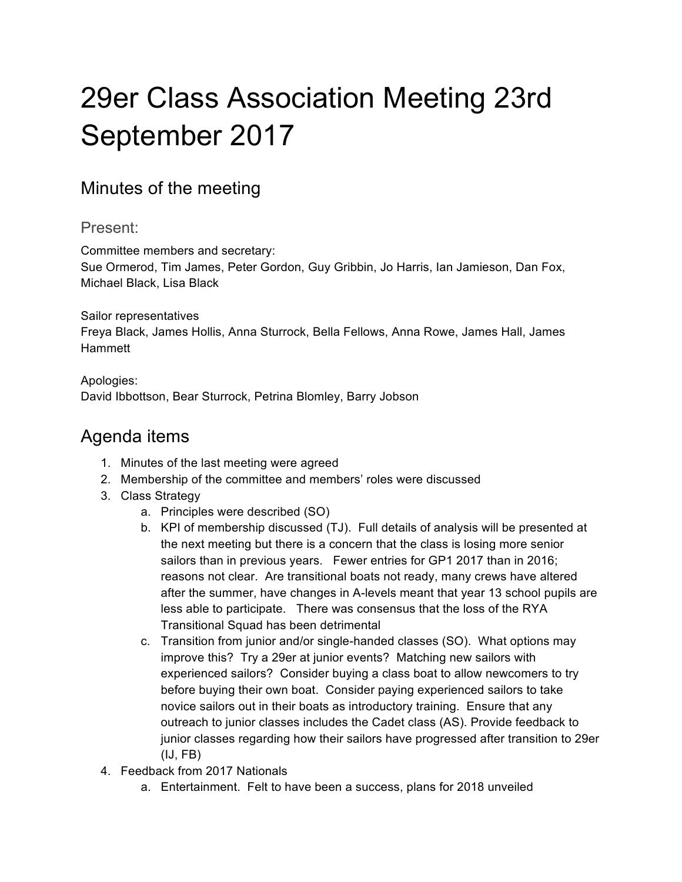## 29er Class Association Meeting 23rd September 2017

## Minutes of the meeting

Present:

Committee members and secretary:

Sue Ormerod, Tim James, Peter Gordon, Guy Gribbin, Jo Harris, Ian Jamieson, Dan Fox, Michael Black, Lisa Black

Sailor representatives Freya Black, James Hollis, Anna Sturrock, Bella Fellows, Anna Rowe, James Hall, James Hammett

Apologies: David Ibbottson, Bear Sturrock, Petrina Blomley, Barry Jobson

## Agenda items

- 1. Minutes of the last meeting were agreed
- 2. Membership of the committee and members' roles were discussed
- 3. Class Strategy
	- a. Principles were described (SO)
	- b. KPI of membership discussed (TJ). Full details of analysis will be presented at the next meeting but there is a concern that the class is losing more senior sailors than in previous years. Fewer entries for GP1 2017 than in 2016; reasons not clear. Are transitional boats not ready, many crews have altered after the summer, have changes in A-levels meant that year 13 school pupils are less able to participate. There was consensus that the loss of the RYA Transitional Squad has been detrimental
	- c. Transition from junior and/or single-handed classes (SO). What options may improve this? Try a 29er at junior events? Matching new sailors with experienced sailors? Consider buying a class boat to allow newcomers to try before buying their own boat. Consider paying experienced sailors to take novice sailors out in their boats as introductory training. Ensure that any outreach to junior classes includes the Cadet class (AS). Provide feedback to junior classes regarding how their sailors have progressed after transition to 29er (IJ, FB)
- 4. Feedback from 2017 Nationals
	- a. Entertainment. Felt to have been a success, plans for 2018 unveiled